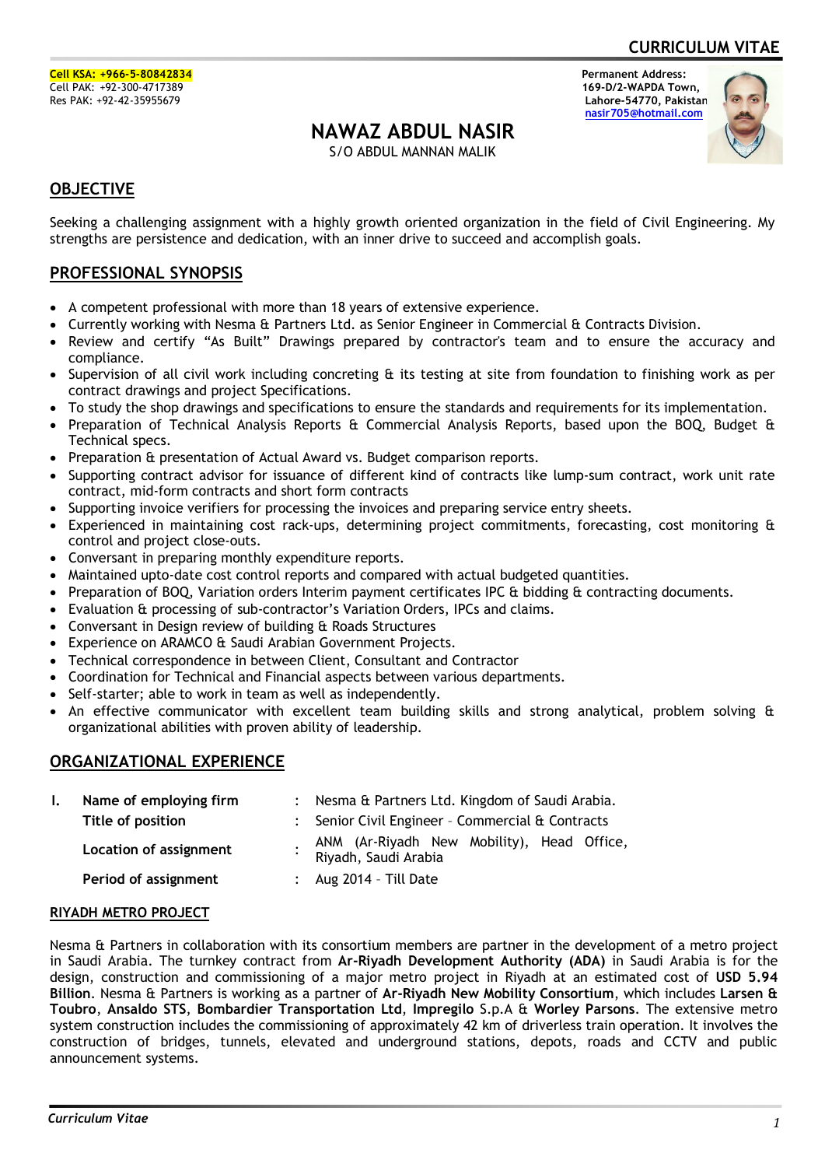**CURRICULUM VITAE**

# **NAWAZ ABDUL NASIR**

S/O ABDUL MANNAN MALIK

 **nasir705@hotmail.com**



## **OBJECTIVE**

Seeking a challenging assignment with a highly growth oriented organization in the field of Civil Engineering. My strengths are persistence and dedication, with an inner drive to succeed and accomplish goals.

### **PROFESSIONAL SYNOPSIS**

- · A competent professional with more than 18 years of extensive experience.
- · Currently working with Nesma & Partners Ltd. as Senior Engineer in Commercial & Contracts Division.
- Review and certify "As Built" Drawings prepared by contractor's team and to ensure the accuracy and compliance.
- · Supervision of all civil work including concreting & its testing at site from foundation to finishing work as per contract drawings and project Specifications.
- · To study the shop drawings and specifications to ensure the standards and requirements for its implementation.
- Preparation of Technical Analysis Reports & Commercial Analysis Reports, based upon the BOQ, Budget & Technical specs.
- Preparation & presentation of Actual Award vs. Budget comparison reports.
- · Supporting contract advisor for issuance of different kind of contracts like lump-sum contract, work unit rate contract, mid-form contracts and short form contracts
- Supporting invoice verifiers for processing the invoices and preparing service entry sheets.
- Experienced in maintaining cost rack-ups, determining project commitments, forecasting, cost monitoring & control and project close-outs.
- · Conversant in preparing monthly expenditure reports.
- · Maintained upto-date cost control reports and compared with actual budgeted quantities.
- Preparation of BOQ, Variation orders Interim payment certificates IPC & bidding & contracting documents.
- Evaluation & processing of sub-contractor's Variation Orders, IPCs and claims.
- · Conversant in Design review of building & Roads Structures
- Experience on ARAMCO & Saudi Arabian Government Projects.
- · Technical correspondence in between Client, Consultant and Contractor
- · Coordination for Technical and Financial aspects between various departments.
- Self-starter; able to work in team as well as independently.
- · An effective communicator with excellent team building skills and strong analytical, problem solving & organizational abilities with proven ability of leadership.

### **ORGANIZATIONAL EXPERIENCE**

| L. | Name of employing firm | : Nesma & Partners Ltd. Kingdom of Saudi Arabia.                   |
|----|------------------------|--------------------------------------------------------------------|
|    | Title of position      | : Senior Civil Engineer - Commercial & Contracts                   |
|    | Location of assignment | ANM (Ar-Riyadh New Mobility), Head Office,<br>Riyadh, Saudi Arabia |
|    | Period of assignment   | $:$ Aug 2014 - Till Date                                           |

#### **RIYADH METRO PROJECT**

Nesma & Partners in collaboration with its consortium members are partner in the development of a metro project in Saudi Arabia. The turnkey contract from **Ar-Riyadh Development Authority (ADA)** in Saudi Arabia is for the design, construction and commissioning of a major metro project in Riyadh at an estimated cost of **USD 5.94 Billion**. Nesma & Partners is working as a partner of **Ar-Riyadh New Mobility Consortium**, which includes **Larsen & Toubro**, **Ansaldo STS**, **Bombardier Transportation Ltd**, **Impregilo** S.p.A & **Worley Parsons**. The extensive metro system construction includes the commissioning of approximately 42 km of driverless train operation. It involves the construction of bridges, tunnels, elevated and underground stations, depots, roads and CCTV and public announcement systems.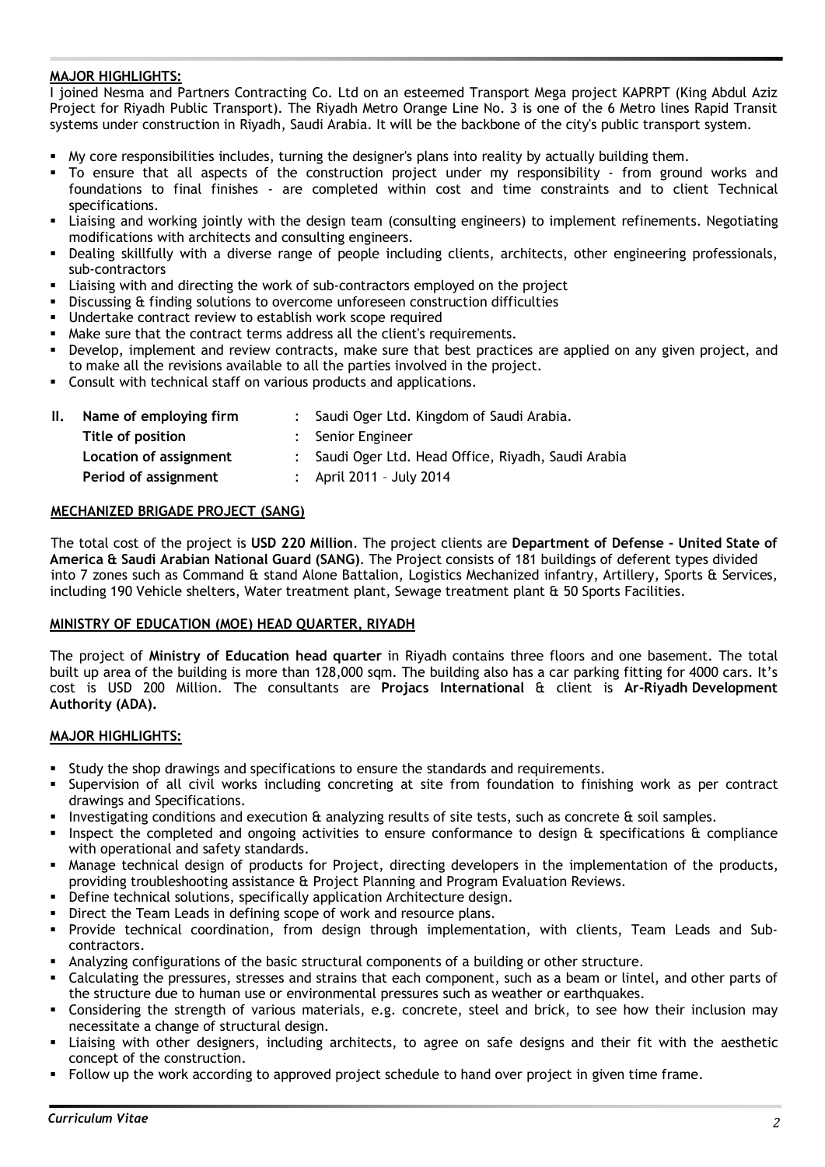### **MAJOR HIGHLIGHTS:**

I joined Nesma and Partners Contracting Co. Ltd on an esteemed Transport Mega project KAPRPT (King Abdul Aziz Project for Riyadh Public Transport). The Riyadh Metro Orange Line No. 3 is one of the 6 Metro lines Rapid Transit systems under construction in Riyadh, Saudi Arabia. It will be the backbone of the city's public transport system.

- **My core responsibilities includes, turning the designer's plans into reality by actually building them.**
- ß To ensure that all aspects of the construction project under my responsibility from ground works and foundations to final finishes - are completed within cost and time constraints and to client Technical specifications.
- ß Liaising and working jointly with the design team (consulting engineers) to implement refinements. Negotiating modifications with architects and consulting engineers.
- ß Dealing skillfully with a diverse range of people including clients, architects, other engineering professionals, sub-contractors
- ß Liaising with and directing the work of sub-contractors employed on the project
- ß Discussing & finding solutions to overcome unforeseen construction difficulties
- Undertake contract review to establish work scope required
- ß Make sure that the contract terms address all the client's requirements.
- ß Develop, implement and review contracts, make sure that best practices are applied on any given project, and to make all the revisions available to all the parties involved in the project.
- ß Consult with technical staff on various products and applications.

| Name of employing firm | : Saudi Oger Ltd. Kingdom of Saudi Arabia.          |
|------------------------|-----------------------------------------------------|
| Title of position      | : Senior Engineer                                   |
| Location of assignment | : Saudi Oger Ltd. Head Office, Riyadh, Saudi Arabia |
| Period of assignment   | : April 2011 - July 2014                            |
|                        |                                                     |

#### **MECHANIZED BRIGADE PROJECT (SANG)**

The total cost of the project is **USD 220 Million**. The project clients are **Department of Defense - United State of America & Saudi Arabian National Guard (SANG)**. The Project consists of 181 buildings of deferent types divided into 7 zones such as Command & stand Alone Battalion, Logistics Mechanized infantry, Artillery, Sports & Services, including 190 Vehicle shelters, Water treatment plant, Sewage treatment plant & 50 Sports Facilities.

#### **MINISTRY OF EDUCATION (MOE) HEAD QUARTER, RIYADH**

The project of **Ministry of Education head quarter** in Riyadh contains three floors and one basement. The total built up area of the building is more than 128,000 sqm. The building also has a car parking fitting for 4000 cars. It's cost is USD 200 Million. The consultants are **Projacs International** & client is **Ar-Riyadh Development Authority (ADA).**

- ß Study the shop drawings and specifications to ensure the standards and requirements.
- ß Supervision of all civil works including concreting at site from foundation to finishing work as per contract drawings and Specifications.
- ß Investigating conditions and execution & analyzing results of site tests, such as concrete & soil samples.
- ß Inspect the completed and ongoing activities to ensure conformance to design & specifications & compliance with operational and safety standards.
- ß Manage technical design of products for Project, directing developers in the implementation of the products, providing troubleshooting assistance & Project Planning and Program Evaluation Reviews.
- ß Define technical solutions, specifically application Architecture design.
- **BED Direct the Team Leads in defining scope of work and resource plans.**
- ß Provide technical coordination, from design through implementation, with clients, Team Leads and Subcontractors.
- ß Analyzing configurations of the basic structural components of a building or other structure.
- Calculating the pressures, stresses and strains that each component, such as a beam or lintel, and other parts of the structure due to human use or environmental pressures such as weather or earthquakes.
- ß Considering the strength of various materials, e.g. concrete, steel and brick, to see how their inclusion may necessitate a change of structural design.
- ß Liaising with other designers, including architects, to agree on safe designs and their fit with the aesthetic concept of the construction.
- ß Follow up the work according to approved project schedule to hand over project in given time frame.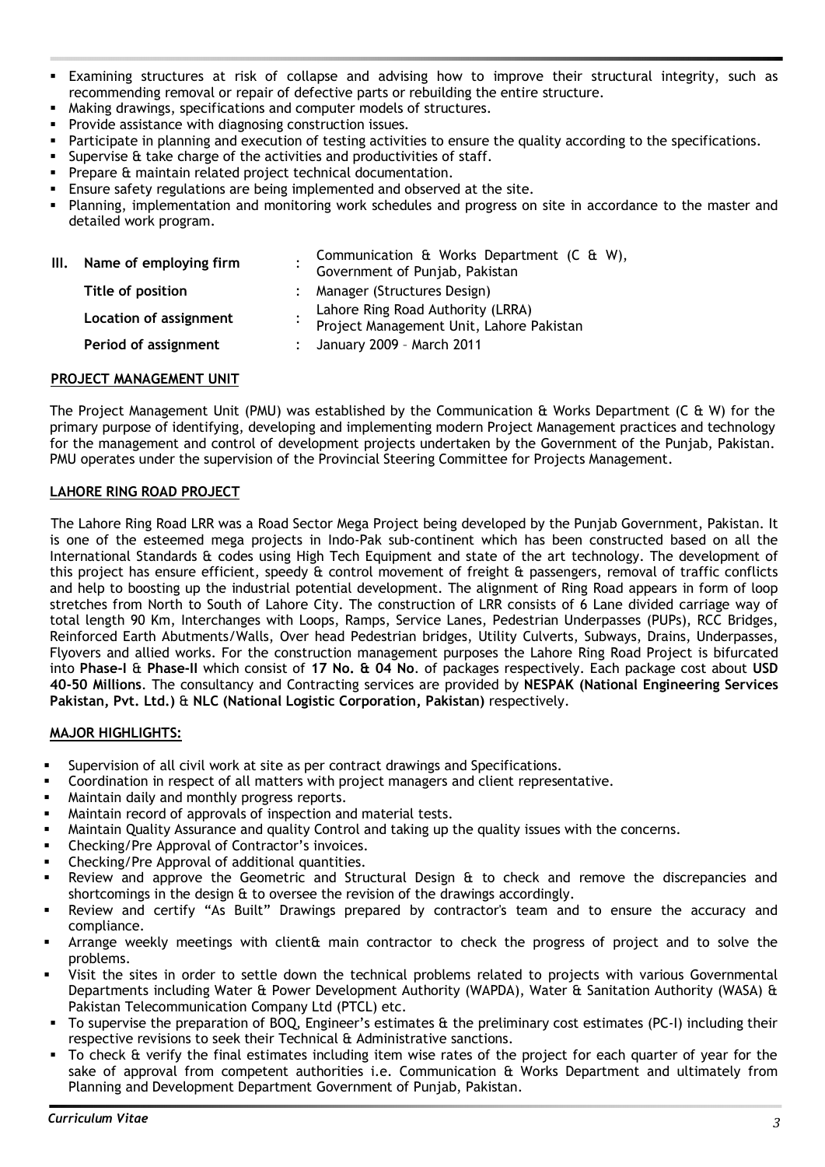- ß Examining structures at risk of collapse and advising how to improve their structural integrity, such as recommending removal or repair of defective parts or rebuilding the entire structure.
- ß Making drawings, specifications and computer models of structures.
- Provide assistance with diagnosing construction issues.
- Participate in planning and execution of testing activities to ensure the quality according to the specifications.
- Supervise & take charge of the activities and productivities of staff.
- ß Prepare & maintain related project technical documentation.
- ß Ensure safety regulations are being implemented and observed at the site.
- ß Planning, implementation and monitoring work schedules and progress on site in accordance to the master and detailed work program.

| III. Name of employing firm | Communication & Works Department (C & W),<br>Government of Punjab, Pakistan   |  |
|-----------------------------|-------------------------------------------------------------------------------|--|
| Title of position           | : Manager (Structures Design)                                                 |  |
| Location of assignment      | Lahore Ring Road Authority (LRRA)<br>Project Management Unit, Lahore Pakistan |  |
| Period of assignment        | : January 2009 - March 2011                                                   |  |
|                             |                                                                               |  |

#### **PROJECT MANAGEMENT UNIT**

The Project Management Unit (PMU) was established by the Communication & Works Department (C & W) for the primary purpose of identifying, developing and implementing modern Project Management practices and technology for the management and control of development projects undertaken by the Government of the Punjab, Pakistan. PMU operates under the supervision of the Provincial Steering Committee for Projects Management.

#### **LAHORE RING ROAD PROJECT**

The Lahore Ring Road LRR was a Road Sector Mega Project being developed by the Punjab Government, Pakistan. It is one of the esteemed mega projects in Indo-Pak sub-continent which has been constructed based on all the International Standards & codes using High Tech Equipment and state of the art technology. The development of this project has ensure efficient, speedy & control movement of freight & passengers, removal of traffic conflicts and help to boosting up the industrial potential development. The alignment of Ring Road appears in form of loop stretches from North to South of Lahore City. The construction of LRR consists of 6 Lane divided carriage way of total length 90 Km, Interchanges with Loops, Ramps, Service Lanes, Pedestrian Underpasses (PUPs), RCC Bridges, Reinforced Earth Abutments/Walls, Over head Pedestrian bridges, Utility Culverts, Subways, Drains, Underpasses, Flyovers and allied works. For the construction management purposes the Lahore Ring Road Project is bifurcated into **Phase-I** & **Phase-II** which consist of **17 No. & 04 No**. of packages respectively. Each package cost about **USD 40-50 Millions**. The consultancy and Contracting services are provided by **NESPAK (National Engineering Services Pakistan, Pvt. Ltd.)** & **NLC (National Logistic Corporation, Pakistan)** respectively.

- **Supervision of all civil work at site as per contract drawings and Specifications.**
- **•** Coordination in respect of all matters with project managers and client representative.
- **Kaintain daily and monthly progress reports.**
- ß Maintain record of approvals of inspection and material tests.
- ß Maintain Quality Assurance and quality Control and taking up the quality issues with the concerns.
- ß Checking/Pre Approval of Contractor's invoices.
- ß Checking/Pre Approval of additional quantities.
- **BE Review and approve the Geometric and Structural Design & to check and remove the discrepancies and** shortcomings in the design & to oversee the revision of the drawings accordingly.
- ß Review and certify "As Built" Drawings prepared by contractor's team and to ensure the accuracy and compliance.
- ß Arrange weekly meetings with client& main contractor to check the progress of project and to solve the problems.
- ß Visit the sites in order to settle down the technical problems related to projects with various Governmental Departments including Water & Power Development Authority (WAPDA), Water & Sanitation Authority (WASA) & Pakistan Telecommunication Company Ltd (PTCL) etc.
- ß To supervise the preparation of BOQ, Engineer's estimates & the preliminary cost estimates (PC-I) including their respective revisions to seek their Technical & Administrative sanctions.
- To check & verify the final estimates including item wise rates of the project for each quarter of year for the sake of approval from competent authorities i.e. Communication & Works Department and ultimately from Planning and Development Department Government of Punjab, Pakistan.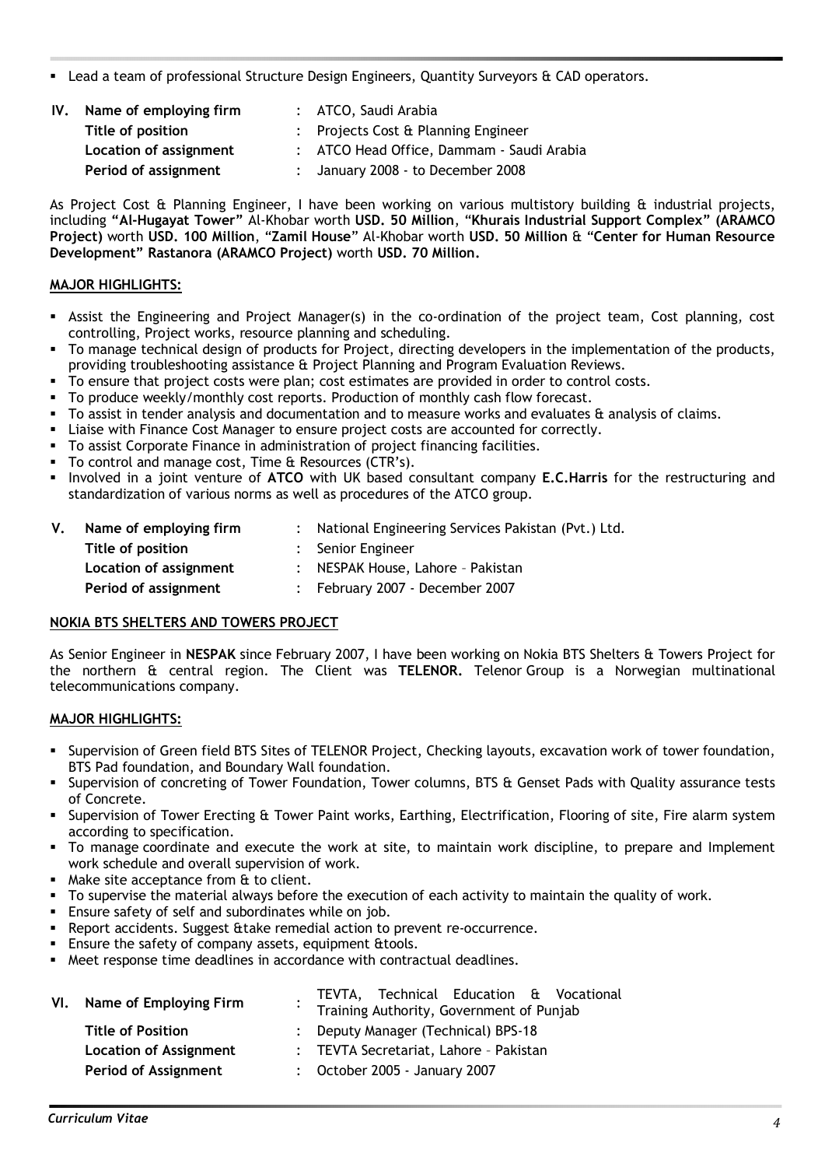ß Lead a team of professional Structure Design Engineers, Quantity Surveyors & CAD operators.

| IV. | Name of employing firm | : ATCO, Saudi Arabia                      |
|-----|------------------------|-------------------------------------------|
|     | Title of position      | : Projects Cost & Planning Engineer       |
|     | Location of assignment | : ATCO Head Office, Dammam - Saudi Arabia |
|     | Period of assignment   | : January 2008 - to December 2008         |

As Project Cost & Planning Engineer, I have been working on various multistory building & industrial projects, including **"Al-Hugayat Tower"** Al-Khobar worth **USD. 50 Million**, "**Khurais Industrial Support Complex" (ARAMCO Project)** worth **USD. 100 Million**, "**Zamil House**" Al-Khobar worth **USD. 50 Million** & "**Center for Human Resource Development" Rastanora (ARAMCO Project)** worth **USD. 70 Million.**

### **MAJOR HIGHLIGHTS:**

- ß Assist the Engineering and Project Manager(s) in the co-ordination of the project team, Cost planning, cost controlling, Project works, resource planning and scheduling.
- ß To manage technical design of products for Project, directing developers in the implementation of the products, providing troubleshooting assistance & Project Planning and Program Evaluation Reviews.
- ß To ensure that project costs were plan; cost estimates are provided in order to control costs.
- ß To produce weekly/monthly cost reports. Production of monthly cash flow forecast.
- To assist in tender analysis and documentation and to measure works and evaluates & analysis of claims.
- ß Liaise with Finance Cost Manager to ensure project costs are accounted for correctly.
- ß To assist Corporate Finance in administration of project financing facilities.
- To control and manage cost, Time & Resources (CTR's).
- ß Involved in a joint venture of **ATCO** with UK based consultant company **E.C.Harris** for the restructuring and standardization of various norms as well as procedures of the ATCO group.

| V. | Name of employing firm | : National Engineering Services Pakistan (Pvt.) Ltd. |
|----|------------------------|------------------------------------------------------|
|    | Title of position      | : Senior Engineer                                    |
|    | Location of assignment | : NESPAK House, Lahore - Pakistan                    |
|    | Period of assignment   | February 2007 - December 2007                        |

#### **NOKIA BTS SHELTERS AND TOWERS PROJECT**

As Senior Engineer in **NESPAK** since February 2007, I have been working on Nokia BTS Shelters & Towers Project for the northern & central region. The Client was **TELENOR.** Telenor Group is a Norwegian multinational telecommunications company.

- **Supervision of Green field BTS Sites of TELENOR Project, Checking layouts, excavation work of tower foundation,** BTS Pad foundation, and Boundary Wall foundation.
- **SUPERVISION OF CONCRETION OF TOWER FOUNDATION, TOWER COLUMNS, BTS & Genset Pads with Quality assurance tests** of Concrete.
- ß Supervision of Tower Erecting & Tower Paint works, Earthing, Electrification, Flooring of site, Fire alarm system according to specification.
- ß To manage coordinate and execute the work at site, to maintain work discipline, to prepare and Implement work schedule and overall supervision of work.
- Make site acceptance from & to client.
- ß To supervise the material always before the execution of each activity to maintain the quality of work.
- Ensure safety of self and subordinates while on job.
- ß Report accidents. Suggest &take remedial action to prevent re-occurrence.
- **Ensure the safety of company assets, equipment &tools.**
- ß Meet response time deadlines in accordance with contractual deadlines.

| VI. Name of Employing Firm    | TEVTA, Technical Education & Vocational<br>Training Authority, Government of Punjab |
|-------------------------------|-------------------------------------------------------------------------------------|
| <b>Title of Position</b>      | : Deputy Manager (Technical) BPS-18                                                 |
| <b>Location of Assignment</b> | : TEVTA Secretariat, Lahore - Pakistan                                              |
| <b>Period of Assignment</b>   | : October 2005 - January 2007                                                       |
|                               |                                                                                     |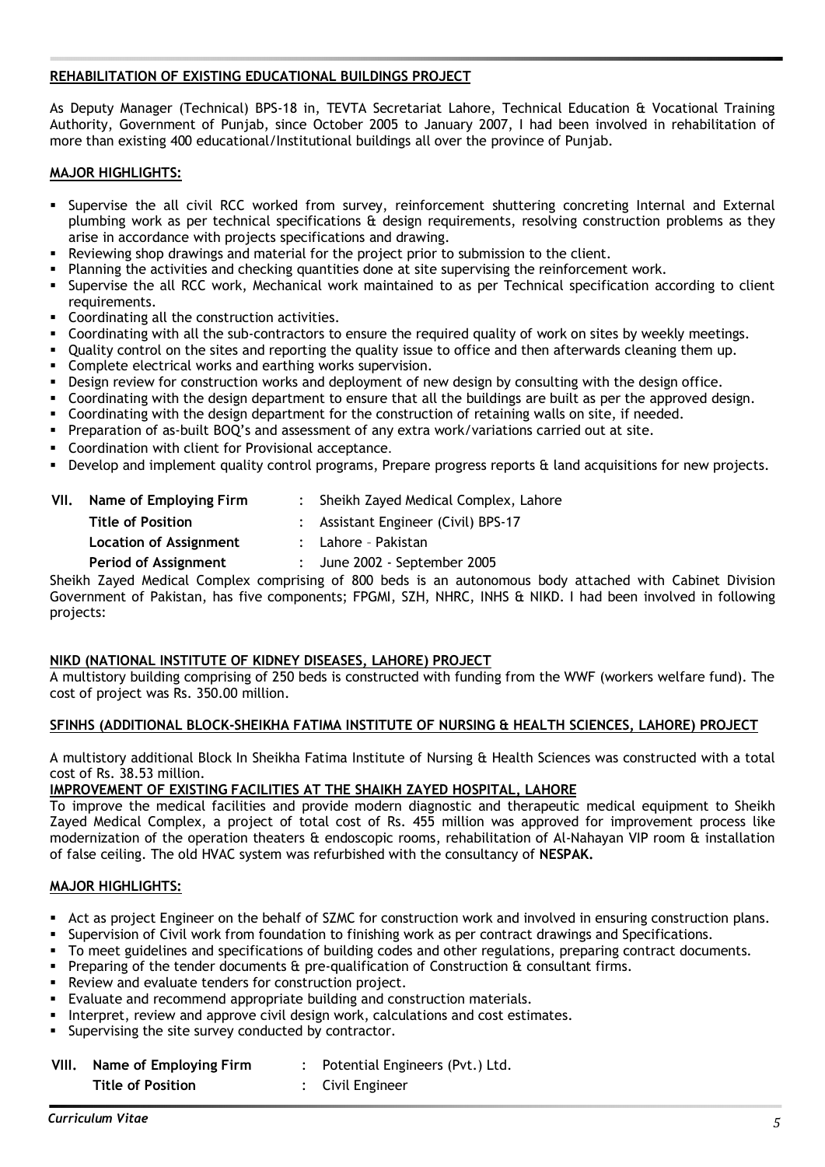#### **REHABILITATION OF EXISTING EDUCATIONAL BUILDINGS PROJECT**

As Deputy Manager (Technical) BPS-18 in, TEVTA Secretariat Lahore, Technical Education & Vocational Training Authority, Government of Punjab, since October 2005 to January 2007, I had been involved in rehabilitation of more than existing 400 educational/Institutional buildings all over the province of Punjab.

#### **MAJOR HIGHLIGHTS:**

- ß Supervise the all civil RCC worked from survey, reinforcement shuttering concreting Internal and External plumbing work as per technical specifications & design requirements, resolving construction problems as they arise in accordance with projects specifications and drawing.
- Reviewing shop drawings and material for the project prior to submission to the client.
- Planning the activities and checking quantities done at site supervising the reinforcement work.
- ß Supervise the all RCC work, Mechanical work maintained to as per Technical specification according to client requirements.
- ß Coordinating all the construction activities.
- ß Coordinating with all the sub-contractors to ensure the required quality of work on sites by weekly meetings.
- Quality control on the sites and reporting the quality issue to office and then afterwards cleaning them up.
- ß Complete electrical works and earthing works supervision.
- ß Design review for construction works and deployment of new design by consulting with the design office.
- ß Coordinating with the design department to ensure that all the buildings are built as per the approved design.
- ß Coordinating with the design department for the construction of retaining walls on site, if needed.
- **Preparation of as-built BOQ's and assessment of any extra work/variations carried out at site.**
- ß Coordination with client for Provisional acceptance.
- **•** Develop and implement quality control programs, Prepare progress reports & land acquisitions for new projects.

| VII. | Name of Employing Firm      | : Sheikh Zayed Medical Complex, Lahore                                    |
|------|-----------------------------|---------------------------------------------------------------------------|
|      | <b>Title of Position</b>    | : Assistant Engineer (Civil) BPS-17                                       |
|      | Location of Assignment      | : Lahore - Pakistan                                                       |
|      | <b>Period of Assignment</b> | $:$ June 2002 - September 2005                                            |
|      |                             | Sheikh Zayed Medical Complex comprising of 800 beds is an autonomous body |

 $v$  attached with Cabinet Division Government of Pakistan, has five components; FPGMI, SZH, NHRC, INHS & NIKD. I had been involved in following projects:

#### **NIKD (NATIONAL INSTITUTE OF KIDNEY DISEASES, LAHORE) PROJECT**

A multistory building comprising of 250 beds is constructed with funding from the WWF (workers welfare fund). The cost of project was Rs. 350.00 million.

#### **SFINHS (ADDITIONAL BLOCK-SHEIKHA FATIMA INSTITUTE OF NURSING & HEALTH SCIENCES, LAHORE) PROJECT**

A multistory additional Block In Sheikha Fatima Institute of Nursing & Health Sciences was constructed with a total cost of Rs. 38.53 million.

#### **IMPROVEMENT OF EXISTING FACILITIES AT THE SHAIKH ZAYED HOSPITAL, LAHORE**

To improve the medical facilities and provide modern diagnostic and therapeutic medical equipment to Sheikh Zayed Medical Complex, a project of total cost of Rs. 455 million was approved for improvement process like modernization of the operation theaters & endoscopic rooms, rehabilitation of Al-Nahayan VIP room & installation of false ceiling. The old HVAC system was refurbished with the consultancy of **NESPAK.**

- ß Act as project Engineer on the behalf of SZMC for construction work and involved in ensuring construction plans.
- ß Supervision of Civil work from foundation to finishing work as per contract drawings and Specifications.
- ß To meet guidelines and specifications of building codes and other regulations, preparing contract documents.
- ß Preparing of the tender documents & pre-qualification of Construction & consultant firms.
- ß Review and evaluate tenders for construction project.
- Evaluate and recommend appropriate building and construction materials.
- ß Interpret, review and approve civil design work, calculations and cost estimates.
- Supervising the site survey conducted by contractor.

| Name of Employing Firm<br>VIII. |                          | Potential Engineers (Pvt.) Ltd. |
|---------------------------------|--------------------------|---------------------------------|
|                                 | <b>Title of Position</b> | : Civil Engineer                |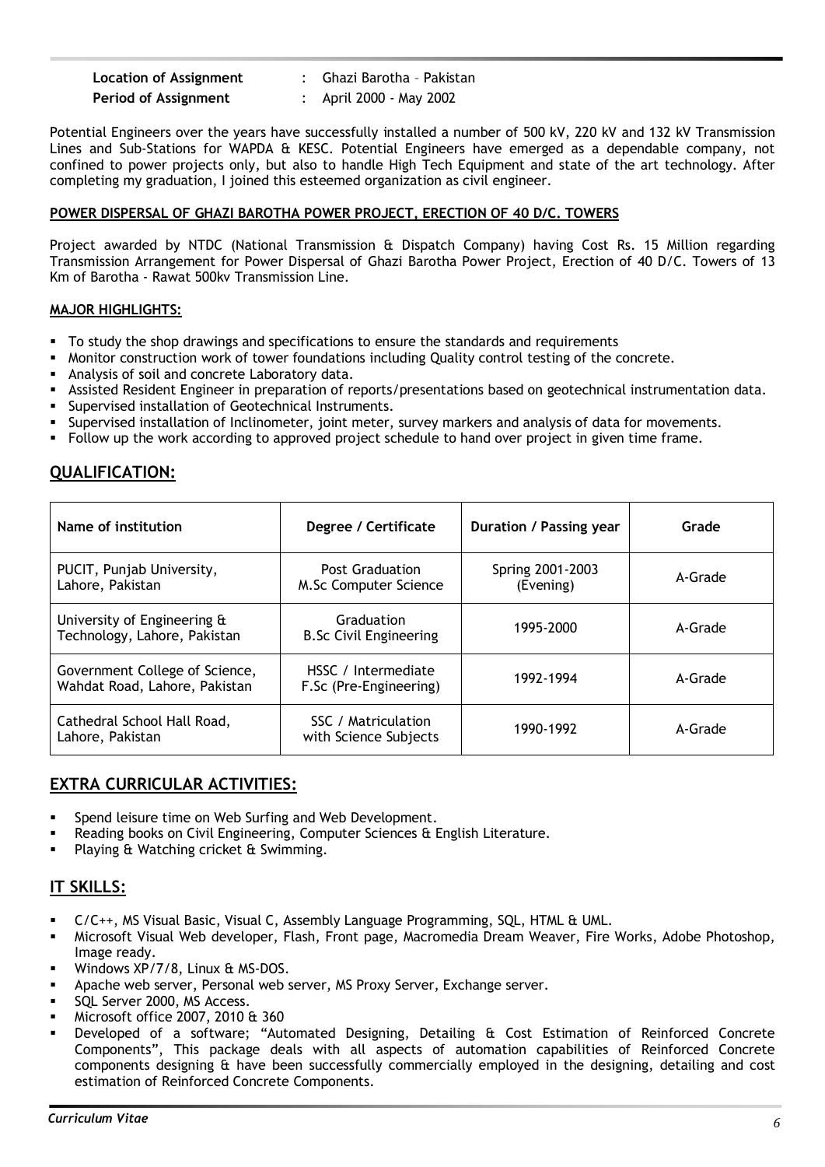| <b>Location of Assignment</b> |
|-------------------------------|
| <b>Period of Assignment</b>   |

**Location of Assignment** : Ghazi Barotha – Pakistan

**Period of Assignment** : April 2000 - May 2002

Potential Engineers over the years have successfully installed a number of 500 kV, 220 kV and 132 kV Transmission Lines and Sub-Stations for WAPDA & KESC. Potential Engineers have emerged as a dependable company, not confined to power projects only, but also to handle High Tech Equipment and state of the art technology. After completing my graduation, I joined this esteemed organization as civil engineer.

### **POWER DISPERSAL OF GHAZI BAROTHA POWER PROJECT, ERECTION OF 40 D/C. TOWERS**

Project awarded by NTDC (National Transmission & Dispatch Company) having Cost Rs. 15 Million regarding Transmission Arrangement for Power Dispersal of Ghazi Barotha Power Project, Erection of 40 D/C. Towers of 13 Km of Barotha - Rawat 500kv Transmission Line.

#### **MAJOR HIGHLIGHTS:**

- ß To study the shop drawings and specifications to ensure the standards and requirements
- ß Monitor construction work of tower foundations including Quality control testing of the concrete.
- ß Analysis of soil and concrete Laboratory data.
- ß Assisted Resident Engineer in preparation of reports/presentations based on geotechnical instrumentation data.
- Supervised installation of Geotechnical Instruments.
- ß Supervised installation of Inclinometer, joint meter, survey markers and analysis of data for movements.
- ß Follow up the work according to approved project schedule to hand over project in given time frame.

# **QUALIFICATION:**

| Name of institution<br>Degree / Certificate                     |                                                 | <b>Duration / Passing year</b> | Grade   |
|-----------------------------------------------------------------|-------------------------------------------------|--------------------------------|---------|
| PUCIT, Punjab University,<br>Lahore, Pakistan                   | <b>Post Graduation</b><br>M.Sc Computer Science | Spring 2001-2003<br>(Evening)  | A-Grade |
| University of Engineering &<br>Technology, Lahore, Pakistan     | Graduation<br><b>B.Sc Civil Engineering</b>     | 1995-2000                      | A-Grade |
| Government College of Science,<br>Wahdat Road, Lahore, Pakistan | HSSC / Intermediate<br>F.Sc (Pre-Engineering)   | 1992-1994                      | A-Grade |
| Cathedral School Hall Road,<br>Lahore, Pakistan                 | SSC / Matriculation<br>with Science Subjects    | 1990-1992                      | A-Grade |

# **EXTRA CURRICULAR ACTIVITIES:**

- Spend leisure time on Web Surfing and Web Development.
- ß Reading books on Civil Engineering, Computer Sciences & English Literature.
- ß Playing & Watching cricket & Swimming.

## **IT SKILLS:**

- ß C/C++, MS Visual Basic, Visual C, Assembly Language Programming, SQL, HTML & UML.
- **•** Microsoft Visual Web developer, Flash, Front page, Macromedia Dream Weaver, Fire Works, Adobe Photoshop, Image ready.
- Windows XP/7/8, Linux & MS-DOS.
- ß Apache web server, Personal web server, MS Proxy Server, Exchange server.
- SQL Server 2000, MS Access.
- ß Microsoft office 2007, 2010 & 360
- ß Developed of a software; "Automated Designing, Detailing & Cost Estimation of Reinforced Concrete Components", This package deals with all aspects of automation capabilities of Reinforced Concrete components designing & have been successfully commercially employed in the designing, detailing and cost estimation of Reinforced Concrete Components.